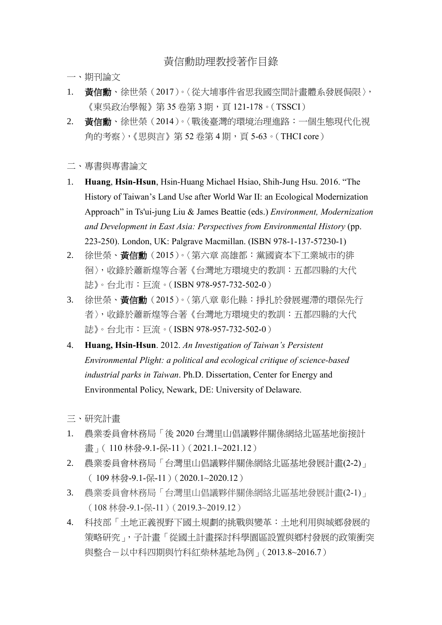## 黃信勳助理教授著作目錄

- 一、期刊論文
- 1. 黃信勳、徐世榮 (2017)。〈從大埔事件省思我國空間計書體系發展侷限〉, 《東吳政治學報》第 35 卷第 3 期,頁 121-178。( TSSCI )
- 2. 黃信勳、徐世榮(2014)。〈戰後臺灣的環境治理進路:一個生態現代化視 角的考察〉,《思與言》第 52 卷第 4 期,頁 5-63。(THCI core)
- 二、專書與專書論文
- 1. **Huang**, **Hsin-Hsun**, Hsin-Huang Michael Hsiao, Shih-Jung Hsu. 2016. "The History of Taiwan's Land Use after World War II: an Ecological Modernization Approach" in Ts'ui-jung Liu & James Beattie (eds.) *Environment, Modernization and Development in East Asia: Perspectives from Environmental History* (pp. 223-250). London, UK: Palgrave Macmillan. (ISBN 978-1-137-57230-1)
- 2. 徐世榮、黃信勳(2015)。〈第六章 高雄都:黨國資本下工業城市的徘 徊〉,收錄於蕭新煌等合著《台灣地方環境史的教訓:五都四縣的大代 誌》。台北市:巨流。(ISBN 978-957-732-502-0)
- 3. 徐世榮、黃信勳(2015)。〈第八章 彰化縣:掙扎於發展遲滯的環保先行 者〉,收錄於蕭新煌等合著《台灣地方環境史的教訓:五都四縣的大代 誌》。台北市:巨流。(ISBN 978-957-732-502-0)
- 4. **Huang, Hsin-Hsun**. 2012. *An Investigation of Taiwan's Persistent Environmental Plight: a political and ecological critique of science-based industrial parks in Taiwan*. Ph.D. Dissertation, Center for Energy and Environmental Policy, Newark, DE: University of Delaware.
- 三、研究計畫
- 1. 農業委員會林務局「後 2020 台灣里山倡議夥伴關係網絡北區基地銜接計 畫」 (110林發-9.1-保-11) (2021.1~2021.12)
- 2. 農業委員會林務局「台灣里山倡議夥伴關係網絡北區基地發展計畫(2-2)」 ( 109 林發-9.1-保-11)(2020.1~2020.12)
- 3. 農業委員會林務局「台灣里山倡議夥伴關係網絡北區基地發展計畫(2-1)」 (108 林發-9.1-保-11)(2019.3~2019.12)
- 4. 科技部「土地正義視野下國土規劃的挑戰與變革:土地利用與城鄉發展的 策略研究」,子計畫「從國土計畫探討科學園區設置與鄉村發展的政策衝突 與整合-以中科四期與竹科紅柴林基地為例」(2013.8~2016.7)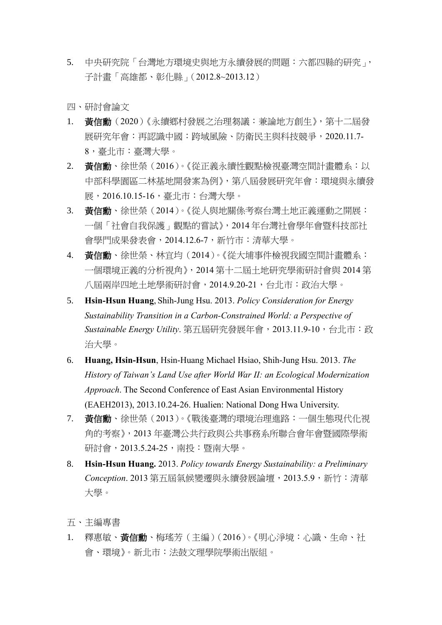5. 中央研究院「台灣地方環境史與地方永續發展的問題:六都四縣的研究」, 子計畫「高雄都、彰化縣」(2012.8~2013.12)

四、研討會論文

- 1. 黃信勳(2020)《永續鄉村發展之治理芻議:兼論地方創生》,第十二屆發 展研究年會:再認識中國:跨域風險、防衛民主與科技競爭,2020.11.7- 8,臺北市:臺灣大學。
- 2. 黃信勳、徐世榮(2016)。《從正義永續性觀點檢視臺灣空間計畫體系:以 中部科學園區二林基地開發案為例》,第八屆發展研究年會:環境與永續發 展,2016.10.15-16,臺北市:台灣大學。
- 3. 黃信勳、徐世榮(2014)。《從人與地關係考察台灣土地正義運動之開展: 一個「社會自我保護」觀點的嘗試》,2014 年台灣社會學年會暨科技部社 會學門成果發表會,2014.12.6-7,新竹市:清華大學。
- 4. 黃信勳、徐世榮、林宜均(2014)。《從大埔事件檢視我國空間計畫體系: 一個環境正義的分析視角》,2014 第十二屆土地研究學術研討會與 2014 第 八屆兩岸四地土地學術研討會,2014.9.20-21,台北市:政治大學。
- 5. **Hsin-Hsun Huang**, Shih-Jung Hsu. 2013. *Policy Consideration for Energy Sustainability Transition in a Carbon-Constrained World: a Perspective of Sustainable Energy Utility*. 第五屆研究發展年會,2013.11.9-10,台北市:政 治大學。
- 6. **Huang, Hsin-Hsun**, Hsin-Huang Michael Hsiao, Shih-Jung Hsu. 2013. *The History of Taiwan's Land Use after World War II: an Ecological Modernization Approach*. The Second Conference of East Asian Environmental History (EAEH2013), 2013.10.24-26. Hualien: National Dong Hwa University.
- 7. 黃信勳、徐世榮(2013)。《戰後臺灣的環境治理進路:一個生態現代化視 角的考察》,2013 年臺灣公共行政與公共事務系所聯合會年會暨國際學術 研討會,2013.5.24-25,南投:暨南大學。
- 8. **Hsin-Hsun Huang.** 2013. *Policy towards Energy Sustainability: a Preliminary Conception*. 2013 第五屆氣候變遷與永續發展論壇,2013.5.9,新竹:清華 大學。
- 五、主編專書
- 1. 釋惠敏、黃信勳、梅瑤芳(主編)(2016)。《明心淨境:心識、生命、社 會、環境》。新北市:法鼓文理學院學術出版組。